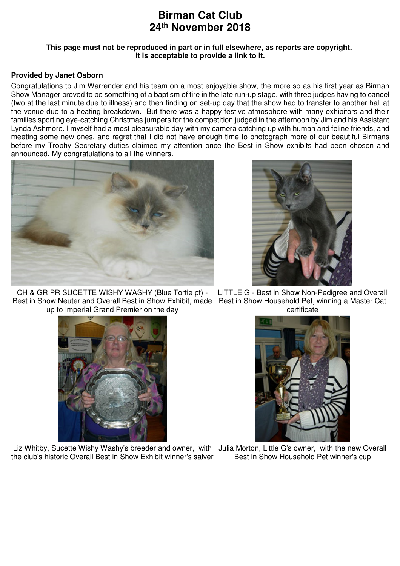## **Birman Cat Club 24th November 2018**

## **This page must not be reproduced in part or in full elsewhere, as reports are copyright. It is acceptable to provide a link to it.**

## **Provided by Janet Osborn**

Congratulations to Jim Warrender and his team on a most enjoyable show, the more so as his first year as Birman Show Manager proved to be something of a baptism of fire in the late run-up stage, with three judges having to cancel (two at the last minute due to illness) and then finding on set-up day that the show had to transfer to another hall at the venue due to a heating breakdown. But there was a happy festive atmosphere with many exhibitors and their families sporting eye-catching Christmas jumpers for the competition judged in the afternoon by Jim and his Assistant Lynda Ashmore. I myself had a most pleasurable day with my camera catching up with human and feline friends, and meeting some new ones, and regret that I did not have enough time to photograph more of our beautiful Birmans before my Trophy Secretary duties claimed my attention once the Best in Show exhibits had been chosen and announced. My congratulations to all the winners.





CH & GR PR SUCETTE WISHY WASHY (Blue Tortie pt) - Best in Show Neuter and Overall Best in Show Exhibit, made Best in Show Household Pet, winning a Master Cat up to Imperial Grand Premier on the day



Liz Whitby, Sucette Wishy Washy's breeder and owner, with Julia Morton, Little G's owner, with the new Overall the club's historic Overall Best in Show Exhibit winner's salver

LITTLE G - Best in Show Non-Pedigree and Overall certificate



Best in Show Household Pet winner's cup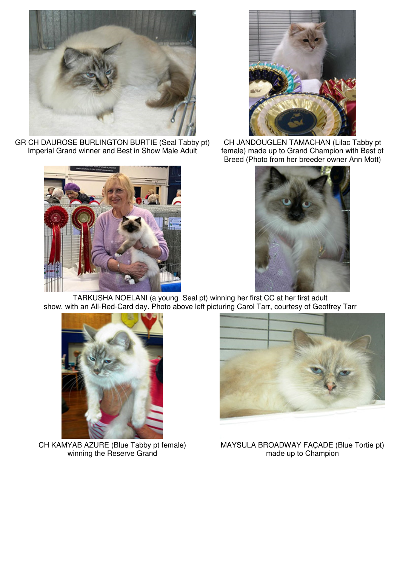

GR CH DAUROSE BURLINGTON BURTIE (Seal Tabby pt) Imperial Grand winner and Best in Show Male Adult





CH JANDOUGLEN TAMACHAN (Lilac Tabby pt female) made up to Grand Champion with Best of Breed (Photo from her breeder owner Ann Mott)



TARKUSHA NOELANI (a young Seal pt) winning her first CC at her first adult show, with an All-Red-Card day. Photo above left picturing Carol Tarr, courtesy of Geoffrey Tarr



CH KAMYAB AZURE (Blue Tabby pt female) winning the Reserve Grand



MAYSULA BROADWAY FAÇADE (Blue Tortie pt) made up to Champion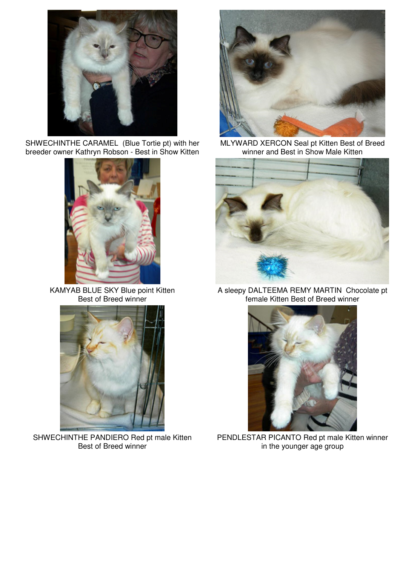

SHWECHINTHE CARAMEL (Blue Tortie pt) with her breeder owner Kathryn Robson - Best in Show Kitten



KAMYAB BLUE SKY Blue point Kitten Best of Breed winner



SHWECHINTHE PANDIERO Red pt male Kitten Best of Breed winner



MLYWARD XERCON Seal pt Kitten Best of Breed winner and Best in Show Male Kitten



A sleepy DALTEEMA REMY MARTIN Chocolate pt female Kitten Best of Breed winner



PENDLESTAR PICANTO Red pt male Kitten winner in the younger age group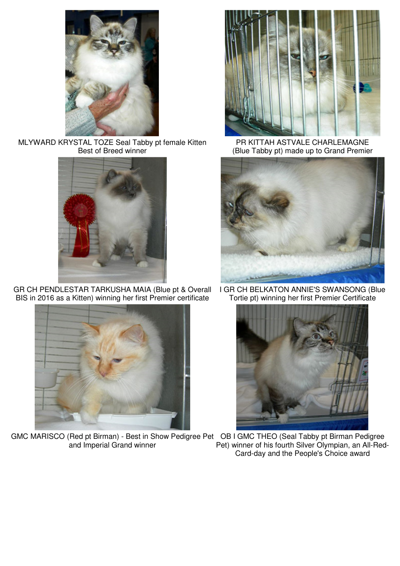

MLYWARD KRYSTAL TOZE Seal Tabby pt female Kitten Best of Breed winner



GR CH PENDLESTAR TARKUSHA MAIA (Blue pt & Overall BIS in 2016 as a Kitten) winning her first Premier certificate



GMC MARISCO (Red pt Birman) - Best in Show Pedigree Pet OB I GMC THEO (Seal Tabby pt Birman Pedigree and Imperial Grand winner



PR KITTAH ASTVALE CHARLEMAGNE (Blue Tabby pt) made up to Grand Premier



I GR CH BELKATON ANNIE'S SWANSONG (Blue Tortie pt) winning her first Premier Certificate



Pet) winner of his fourth Silver Olympian, an All-Red-Card-day and the People's Choice award